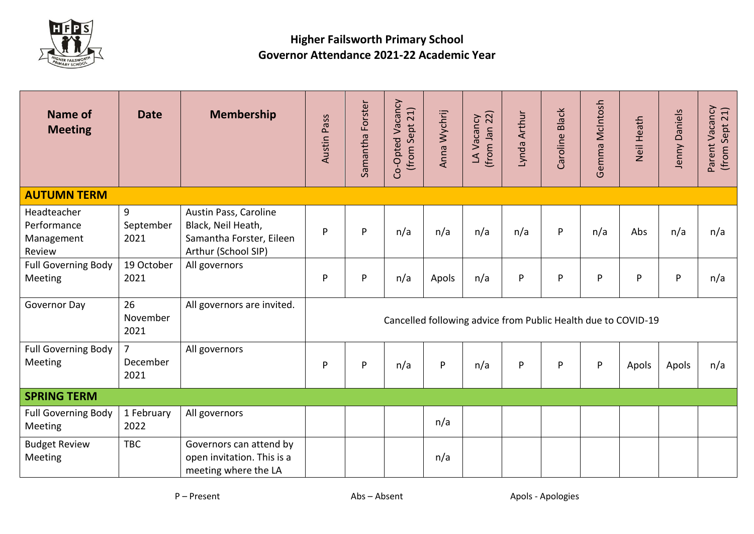

## **Higher Failsworth Primary School Governor Attendance 2021-22 Academic Year**

| Name of<br><b>Meeting</b>                          | <b>Date</b>                        | <b>Membership</b>                                                                              | Austin Pass                                                   | Samantha Forster | Co-Opted Vacancy<br>(from Sept 21) | Anna Wychrij | $(from$ Jan 22)<br>LA Vacancy | Lynda Arthur | Caroline Black | Gemma McIntosh | Neil Heath   | Jenny Daniels | Parent Vacancy<br>(from Sept 21) |
|----------------------------------------------------|------------------------------------|------------------------------------------------------------------------------------------------|---------------------------------------------------------------|------------------|------------------------------------|--------------|-------------------------------|--------------|----------------|----------------|--------------|---------------|----------------------------------|
| <b>AUTUMN TERM</b>                                 |                                    |                                                                                                |                                                               |                  |                                    |              |                               |              |                |                |              |               |                                  |
| Headteacher<br>Performance<br>Management<br>Review | 9<br>September<br>2021             | Austin Pass, Caroline<br>Black, Neil Heath,<br>Samantha Forster, Eileen<br>Arthur (School SIP) | P                                                             | P                | n/a                                | n/a          | n/a                           | n/a          | ${\sf P}$      | n/a            | Abs          | n/a           | n/a                              |
| <b>Full Governing Body</b><br>Meeting              | 19 October<br>2021                 | All governors                                                                                  | P                                                             | P                | n/a                                | Apols        | n/a                           | P            | $\mathsf{P}$   | P              | $\mathsf{P}$ | ${\sf P}$     | n/a                              |
| Governor Day                                       | 26<br>November<br>2021             | All governors are invited.                                                                     | Cancelled following advice from Public Health due to COVID-19 |                  |                                    |              |                               |              |                |                |              |               |                                  |
| <b>Full Governing Body</b><br>Meeting              | $\overline{7}$<br>December<br>2021 | All governors                                                                                  | P                                                             | P                | n/a                                | P            | n/a                           | ${\sf P}$    | ${\sf P}$      | $\sf P$        | Apols        | Apols         | n/a                              |
| <b>SPRING TERM</b>                                 |                                    |                                                                                                |                                                               |                  |                                    |              |                               |              |                |                |              |               |                                  |
| <b>Full Governing Body</b><br>Meeting              | 1 February<br>2022                 | All governors                                                                                  |                                                               |                  |                                    | n/a          |                               |              |                |                |              |               |                                  |
| <b>Budget Review</b><br>Meeting                    | <b>TBC</b>                         | Governors can attend by<br>open invitation. This is a<br>meeting where the LA                  |                                                               |                  |                                    | n/a          |                               |              |                |                |              |               |                                  |